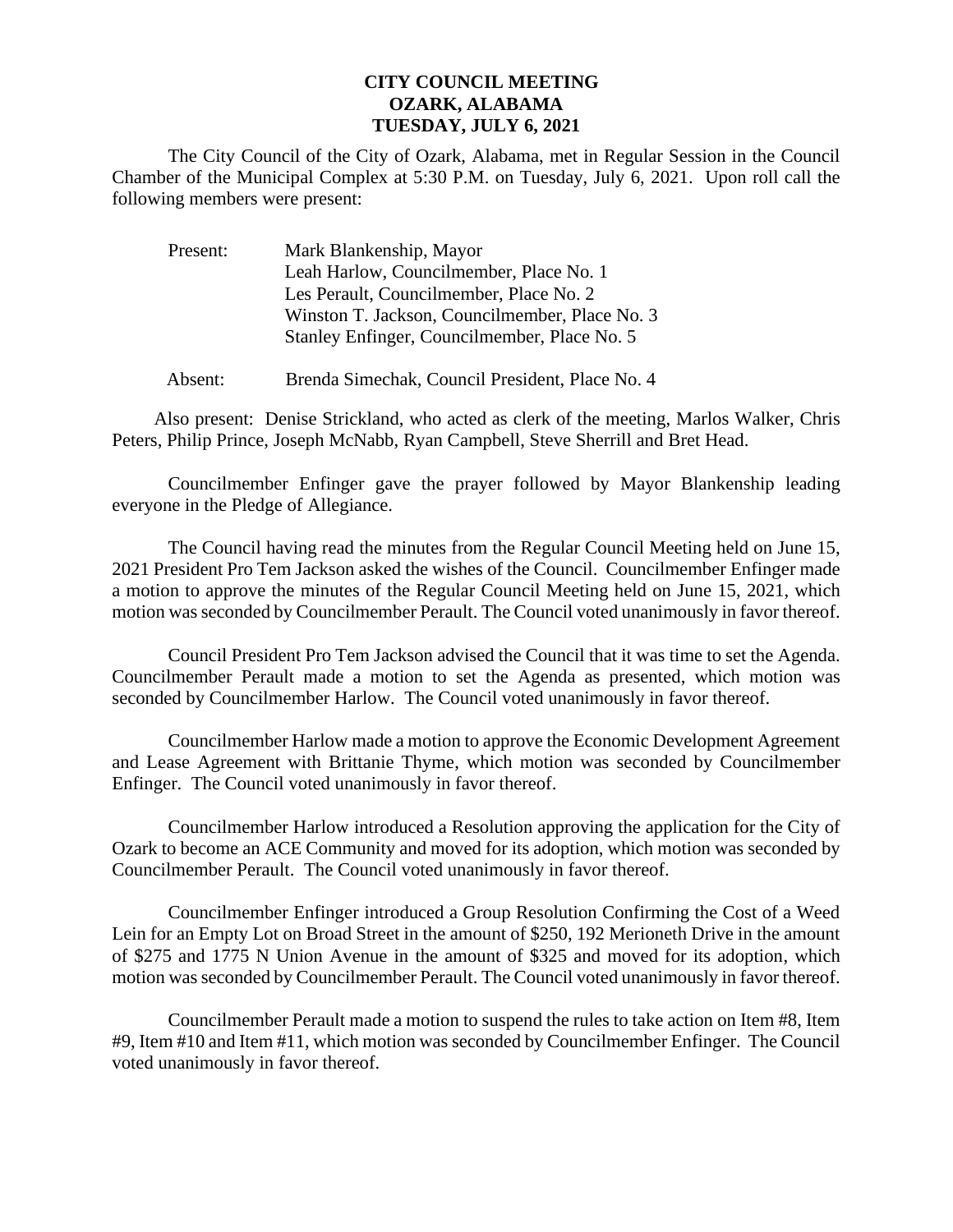## **CITY COUNCIL MEETING OZARK, ALABAMA TUESDAY, JULY 6, 2021**

The City Council of the City of Ozark, Alabama, met in Regular Session in the Council Chamber of the Municipal Complex at 5:30 P.M. on Tuesday, July 6, 2021. Upon roll call the following members were present:

| Present: | Mark Blankenship, Mayor                        |
|----------|------------------------------------------------|
|          | Leah Harlow, Councilmember, Place No. 1        |
|          | Les Perault, Councilmember, Place No. 2        |
|          | Winston T. Jackson, Councilmember, Place No. 3 |
|          | Stanley Enfinger, Councilmember, Place No. 5   |
|          |                                                |

Absent: Brenda Simechak, Council President, Place No. 4

Also present: Denise Strickland, who acted as clerk of the meeting, Marlos Walker, Chris Peters, Philip Prince, Joseph McNabb, Ryan Campbell, Steve Sherrill and Bret Head.

Councilmember Enfinger gave the prayer followed by Mayor Blankenship leading everyone in the Pledge of Allegiance.

The Council having read the minutes from the Regular Council Meeting held on June 15, 2021 President Pro Tem Jackson asked the wishes of the Council. Councilmember Enfinger made a motion to approve the minutes of the Regular Council Meeting held on June 15, 2021, which motion was seconded by Councilmember Perault. The Council voted unanimously in favor thereof.

Council President Pro Tem Jackson advised the Council that it was time to set the Agenda. Councilmember Perault made a motion to set the Agenda as presented, which motion was seconded by Councilmember Harlow. The Council voted unanimously in favor thereof.

Councilmember Harlow made a motion to approve the Economic Development Agreement and Lease Agreement with Brittanie Thyme, which motion was seconded by Councilmember Enfinger. The Council voted unanimously in favor thereof.

Councilmember Harlow introduced a Resolution approving the application for the City of Ozark to become an ACE Community and moved for its adoption, which motion was seconded by Councilmember Perault. The Council voted unanimously in favor thereof.

Councilmember Enfinger introduced a Group Resolution Confirming the Cost of a Weed Lein for an Empty Lot on Broad Street in the amount of \$250, 192 Merioneth Drive in the amount of \$275 and 1775 N Union Avenue in the amount of \$325 and moved for its adoption, which motion was seconded by Councilmember Perault. The Council voted unanimously in favor thereof.

Councilmember Perault made a motion to suspend the rules to take action on Item #8, Item #9, Item #10 and Item #11, which motion was seconded by Councilmember Enfinger. The Council voted unanimously in favor thereof.